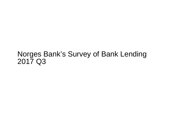## Norges Bank's Survey of Bank Lending2017 Q3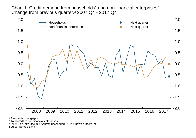Chart 1 Credit demand from households<sup>1</sup> and non-financial enterprises<sup>2</sup>. Change from previous quarter.³ 2007 Q4 - 2017 Q4



<sup>1</sup> Residential mortgages.

² Total credit to non-financial enterprises.

 $3$  2/1 = Up a lot/a little, 0 = Approx. unchanged, -1/-2 = Down a little/a lot.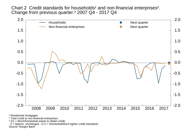Chart 2 Credit standards for households<sup>1</sup> and non-financial enterprises<sup>2</sup>. Change from previous quarter.³ 2007 Q4 - 2017 Q4



<sup>1</sup> Residential mortgages.

² Total credit to non-financial enterprises.

<sup>3</sup> 2/1 = Much/Somewhat easier to obtain credit,

0 = Approx. unchanged, -1/-2 = Somewhat/Much tighter credit standards.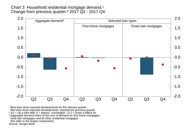Chart 3 Household residential mortgage demand.<sup>1</sup> Change from previous quarter.² 2017 Q2 - 2017 Q4



<sup>1</sup> Blue bars show reported developments for the relevant quarter. Red dots show expected developments, reported the previous quarter.

<sup>2</sup> 2/1 = Up a lot/a little, 0 = Approx. unchanged, -1/-2 = Down a little/a lot.<br><sup>3</sup> Aggregate demand refers to the sum of demand for first-home mortgages, fixed-rate mortgages and all other residential mortgages (the latter is the largest component).Source: Norges Bank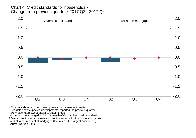Chart 4 Credit standards for households.<sup>1</sup> Change from previous quarter.² 2017 Q2 - 2017 Q4



<sup>1</sup> Blue bars show reported developments for the relevant quarter. Red dots show expected developments, reported the previous quarter.<br><sup>2</sup> 2/1 = Much/Somewhat easier to obtain credit,

0 = Approx. unchanged, -1/-2 = Somewhat/Much tighter credit standards.

<sup>3</sup> Overall credit standards refers to credit standards for first-home mortgages and all other residential mortgages (the latter is the largest component).Source: Norges Bank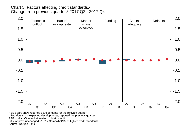## Chart 5 Factors affecting credit standards.<sup>1</sup> Change from previous quarter.² 2017 Q2 - 2017 Q4



<sup>1</sup> Blue bars show reported developments for the relevant quarter.

Red dots show expected developments, reported the previous quarter.

 $22/1$  = Much/Somewhat easier to obtain credit,

 0 = Approx. unchanged, -1/-2 = Somewhat/Much tighter credit standards.Source: Norges Bank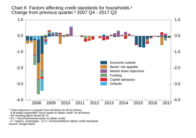Chart 6 Factors affecting credit standards for households.<sup>1</sup> Change from previous quarter.² 2007 Q4 - 2017 Q3



<sup>1</sup> Total response in a quarter from all banks for all six factors. If all banks responded "much easier to obtain credit" on all factors, the resulting figure would be 12.

² 2/1 = Much/Somewhat easier to obtain credit,

 0 = Approx. unchanged, -1/-2 = Somewhat/Much tighter credit standards.Source: Norges Bank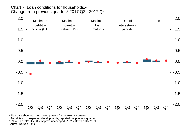Chart 7 Loan conditions for households.<sup>1</sup> Change from previous quarter.² 2017 Q2 - 2017 Q4

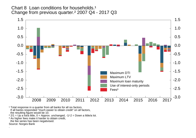Chart 8 Loan conditions for households.<sup>1</sup> Change from previous quarter.² 2007 Q4 - 2017 Q3



<sup>1</sup> Total response in a quarter from all banks for all six factors.<br>If all banks responded "much easier to obtain credit" on all factors, the resulting figure would be 10.

² 2/1 = Up a lot/a little, 0 = Approx. unchanged, -1/-2 = Down a little/a lot.

<sup>3</sup> As higher fees make it harder to obtain credit,

the fee series has been negativised.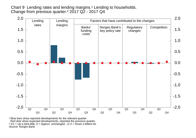Chart 9 Lending rates and lending margins.<sup>1</sup> Lending to households. Change from previous quarter.² 2017 Q2 - 2017 Q4

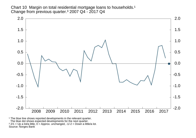Chart 10 Margin on total residential mortgage loans to households.<sup>1</sup> Change from previous quarter.<sup>3</sup> 2007 Q4 - 2017 Q4



<sup>1</sup> The blue line shows reported developments in the relevant quarter. The blue dot shows expected developments for the next quarter. ² 2/1 = Up a lot/a little, 0 = Approx. unchanged, -1/-2 = Down a little/a lot.Source: Norges Bank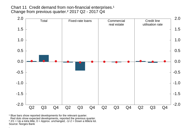Chart 11 Credit demand from non-financial enterprises.<sup>1</sup> Change from previous quarter.² 2017 Q2 - 2017 Q4



<sup>1</sup> Blue bars show reported developments for the relevant quarter. Red dots show expected developments, reported the previous quarter.<br><sup>2</sup> 2/1 = Up a lot/a little, 0 = Approx. unchanged, -1/-2 = Down a little/a lot. Source: Norges Bank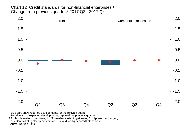Chart 12 Credit standards for non-financial enterprises.<sup>1</sup> Change from previous quarter.² 2017 Q2 - 2017 Q4



<sup>1</sup> Blue bars show reported developments for the relevant quarter.

Red dots show expected developments, reported the previous quarter.

² 2 = Much easier to get loans, 1 = Somewhat easier to get loans, 0 = Approx. unchanged, -1 = Somewhat tighter credit standards, -2 = Much tighter credit standards.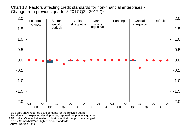Chart 13 Factors affecting credit standards for non-financial enterprises.<sup>1</sup> Change from previous quarter.<sup>2</sup> 2017 Q2 - 2017 Q4



<sup>1</sup> Blue bars show reported developments for the relevant quarter. Red dots show expected developments, reported the previous quarter. $22/1$  = Much/Somewhat easier to obtain credit,  $0$  = Approx. unchanged, -1/-2 = Somewhat/Much tighter credit standards.Source: Norges Bank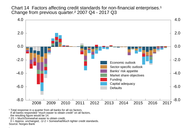Chart 14 Factors affecting credit standards for non-financial enterprises.<sup>1</sup> Change from previous quarter.² 2007 Q4 - 2017 Q3



<sup>1</sup> Total response in a quarter from all banks for all six factors. If all banks responded "much easier to obtain credit" on all factors, the resulting figure would be 14.

² 2/1 = Much/Somewhat easier to obtain credit,

 0 = Approx. unchanged, -1/-2 = Somewhat/Much tighter credit standards.Source: Norges Bank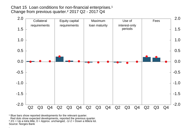Chart 15 Loan conditions for non-financial enterprises.<sup>1</sup> Change from previous quarter.² 2017 Q2 - 2017 Q4

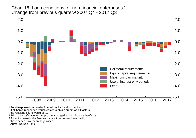Chart 16 Loan conditions for non-financial enterprises.<sup>1</sup> Change from previous quarter.² 2007 Q4 - 2017 Q3



<sup>1</sup> Total response in a quarter from all banks for all six factors. If all banks responded "much easier to obtain credit" on all factors, the resulting figure would be 10.

² 2/1 = Up a lot/a little, 0 = Approx. unchanged, -1/-2 = Down a little/a lot.

<sup>3</sup> As an increase in the <sup>3</sup>-series makes it harder to obtain credit,

these series have been negativised.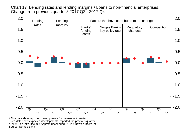Chart 17 Lending rates and lending margins.<sup>1</sup> Loans to non-financial enterprises. Change from previous quarter.² 2017 Q2 - 2017 Q4